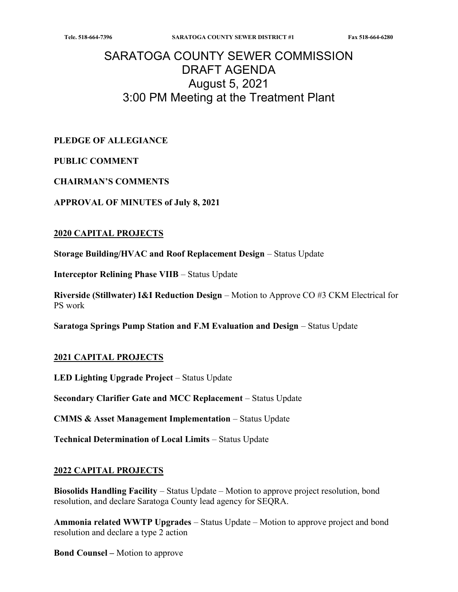# SARATOGA COUNTY SEWER COMMISSION DRAFT AGENDA August 5, 2021 3:00 PM Meeting at the Treatment Plant

PLEDGE OF ALLEGIANCE

#### PUBLIC COMMENT

#### CHAIRMAN'S COMMENTS

APPROVAL OF MINUTES of July 8, 2021

#### 2020 CAPITAL PROJECTS

Storage Building/HVAC and Roof Replacement Design – Status Update

Interceptor Relining Phase VIIB – Status Update

Riverside (Stillwater) I&I Reduction Design – Motion to Approve CO #3 CKM Electrical for PS work

Saratoga Springs Pump Station and F.M Evaluation and Design – Status Update

#### 2021 CAPITAL PROJECTS

LED Lighting Upgrade Project – Status Update

Secondary Clarifier Gate and MCC Replacement – Status Update

CMMS & Asset Management Implementation – Status Update

Technical Determination of Local Limits – Status Update

#### 2022 CAPITAL PROJECTS

Biosolids Handling Facility – Status Update – Motion to approve project resolution, bond resolution, and declare Saratoga County lead agency for SEQRA.

Ammonia related WWTP Upgrades – Status Update – Motion to approve project and bond resolution and declare a type 2 action

Bond Counsel – Motion to approve